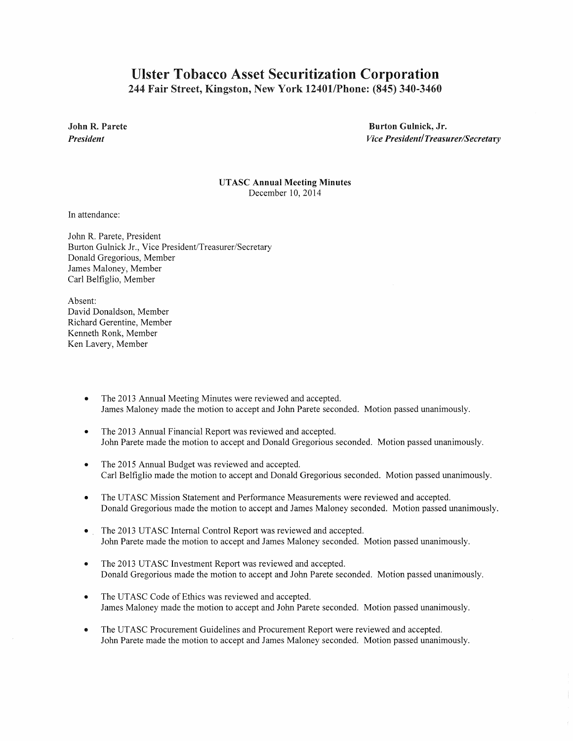## Ulster Tobacco Asset Securitization Corporation 244 Fair Street, Kingston, New York 12401/Phone: (845) 340-3460

John R. Parete *President* 

Burton Gulnick, Jr. *Vice President! Treasurer/Secretary* 

UTASC Annual Meeting Minutes December 10,2014

In attendance:

John R. Parete, President Burton Gulnick Jr., Vice President/Treasurer/Secretary Donald Gregorious, Member James Maloney, Member Carl Belfiglio, Member

Absent: David Donaldson, Member Richard Gerentine, Member Kenneth Ronk, Member Ken Lavery, Member

- The 2013 Annual Meeting Minutes were reviewed and accepted. James Maloney made the motion to accept and John Parete seconded. Motion passed unanimously.
- The 2013 Annual Financial Report was reviewed and accepted. John Parete made the motion to accept and Donald Gregorious seconded. Motion passed unanimously.
- The 2015 Annual Budget was reviewed and accepted. Carl Belfiglio made the motion to accept and Donald Gregorious seconded. Motion passed unanimously.
- The UTASC Mission Statement and Performance Measurements were reviewed and accepted. Donald Gregorious made the motion to accept and James Maloney seconded. Motion passed unanimously.
- The 2013 UTASC Internal Control Report was reviewed and accepted. John Parete made the motion to accept and James Maloney seconded. Motion passed unanimously.
- The 2013 UTASC Investment Report was reviewed and accepted. Donald Gregorious made the motion to accept and John Parete seconded. Motion passed unanimously.
- The UTASC Code of Ethics was reviewed and accepted. James Maloney made the motion to accept and John Parete seconded. Motion passed unanimously.
- The UTASC Procurement Guidelines and Procurement Report were reviewed and accepted. John Parete made the motion to accept and James Maloney seconded. Motion passed unanimously.